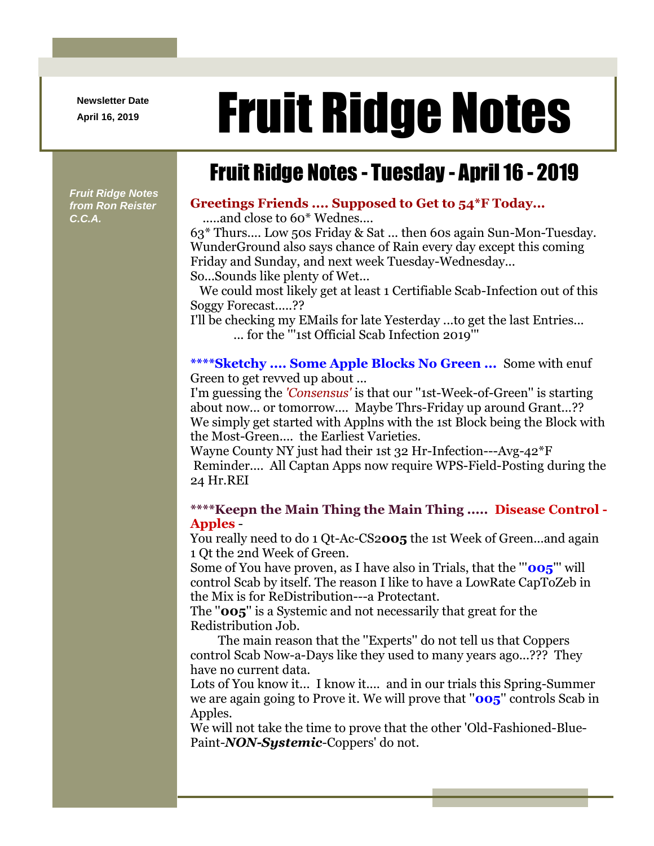**Newsletter Date**

# April 16, 2019 **Fruit Ridge Notes**

## Fruit Ridge Notes - Tuesday - April 16 - 2019

*Fruit Ridge Notes from Ron Reister C.C.A.*

#### **Greetings Friends .... Supposed to Get to 54\*F Today...**

.....and close to 60\* Wednes....

63\* Thurs.... Low 50s Friday & Sat ... then 60s again Sun-Mon-Tuesday. WunderGround also says chance of Rain every day except this coming Friday and Sunday, and next week Tuesday-Wednesday...

So...Sounds like plenty of Wet...

We could most likely get at least 1 Certifiable Scab-Infection out of this Soggy Forecast.....??

I'll be checking my EMails for late Yesterday ...to get the last Entries... ... for the '''1st Official Scab Infection 2019'''

#### **\*\*\*\*Sketchy .... Some Apple Blocks No Green ...** Some with enuf Green to get revved up about ...

I'm guessing the *'Consensus'* is that our ''1st-Week-of-Green'' is starting about now... or tomorrow.... Maybe Thrs-Friday up around Grant...?? We simply get started with Applns with the 1st Block being the Block with the Most-Green.... the Earliest Varieties.

Wayne County NY just had their 1st 32 Hr-Infection---Avg-42\*F Reminder.... All Captan Apps now require WPS-Field-Posting during the 24 Hr.REI

#### **\*\*\*\*Keepn the Main Thing the Main Thing ..... Disease Control - Apples** -

You really need to do 1 Qt-Ac-CS2**005** the 1st Week of Green...and again 1 Qt the 2nd Week of Green.

Some of You have proven, as I have also in Trials, that the '''**005**''' will control Scab by itself. The reason I like to have a LowRate CapToZeb in the Mix is for ReDistribution---a Protectant.

The ''**005**'' is a Systemic and not necessarily that great for the Redistribution Job.

The main reason that the ''Experts'' do not tell us that Coppers control Scab Now-a-Days like they used to many years ago...??? They have no current data.

Lots of You know it... I know it.... and in our trials this Spring-Summer we are again going to Prove it. We will prove that ''**005**'' controls Scab in Apples.

We will not take the time to prove that the other 'Old-Fashioned-Blue-Paint-*NON-Systemic*-Coppers' do not.